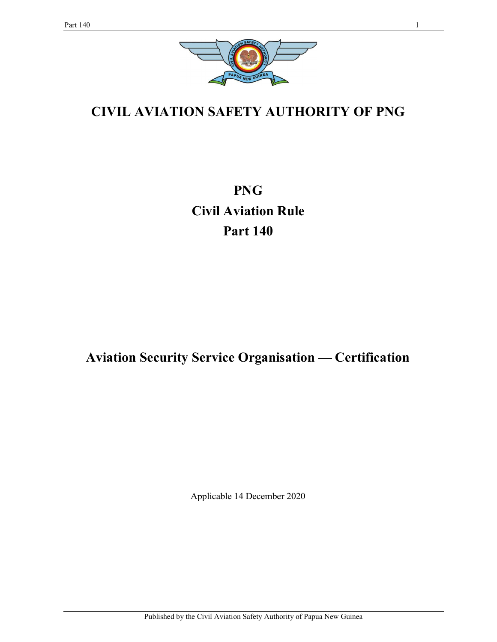

# CIVIL AVIATION SAFETY AUTHORITY OF PNG

PNG Civil Aviation Rule Part 140

# Aviation Security Service Organisation — Certification

Applicable 14 December 2020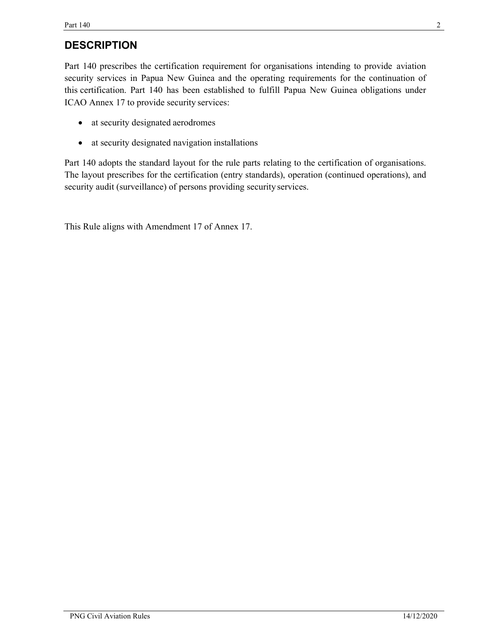# **DESCRIPTION**

Part 140 prescribes the certification requirement for organisations intending to provide aviation security services in Papua New Guinea and the operating requirements for the continuation of this certification. Part 140 has been established to fulfill Papua New Guinea obligations under ICAO Annex 17 to provide security services:

- at security designated aerodromes
- at security designated navigation installations

Part 140 adopts the standard layout for the rule parts relating to the certification of organisations. The layout prescribes for the certification (entry standards), operation (continued operations), and security audit (surveillance) of persons providing security services.

This Rule aligns with Amendment 17 of Annex 17.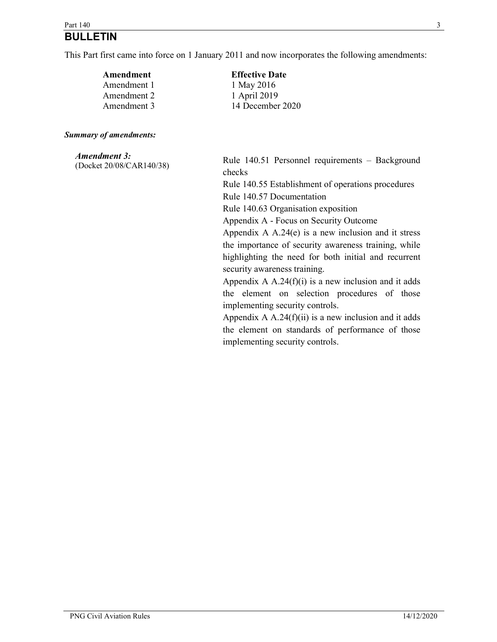# Part  $140 \hspace{1.5cm} 3$ BULLETIN

This Part first came into force on 1 January 2011 and now incorporates the following amendments:

| Amendment   | <b>Effective Date</b> |
|-------------|-----------------------|
| Amendment 1 | 1 May 2016            |
| Amendment 2 | 1 April 2019          |
| Amendment 3 | 14 December 2020      |
|             |                       |

#### Summary of amendments:

**Amendment 3:**<br>(Docket 20/08/CAR140/38)

Rule 140.51 Personnel requirements – Background checks

Rule 140.55 Establishment of operations procedures

Rule 140.57 Documentation

Rule 140.63 Organisation exposition

Appendix A - Focus on Security Outcome

Appendix A A.24(e) is a new inclusion and it stress the importance of security awareness training, while highlighting the need for both initial and recurrent security awareness training.

Appendix A  $A.24(f)(i)$  is a new inclusion and it adds the element on selection procedures of those implementing security controls.

Appendix A  $A.24(f)(ii)$  is a new inclusion and it adds the element on standards of performance of those implementing security controls.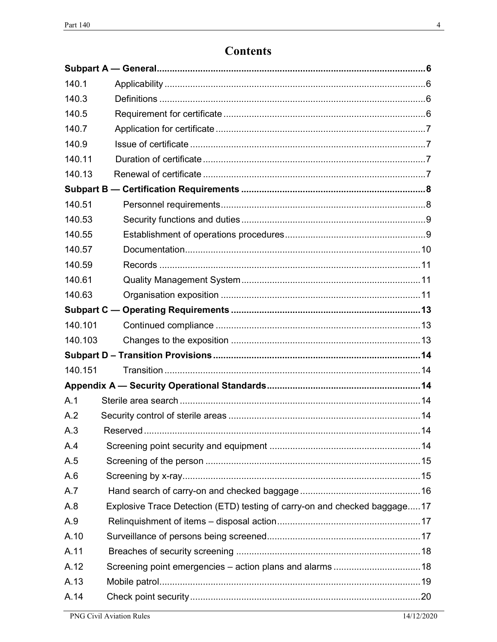# **Contents**

| 140.1   |                                                                           |  |
|---------|---------------------------------------------------------------------------|--|
| 140.3   |                                                                           |  |
| 140.5   |                                                                           |  |
| 140.7   |                                                                           |  |
| 140.9   |                                                                           |  |
| 140.11  |                                                                           |  |
| 140.13  |                                                                           |  |
|         |                                                                           |  |
| 140.51  |                                                                           |  |
| 140.53  |                                                                           |  |
| 140.55  |                                                                           |  |
| 140.57  |                                                                           |  |
| 140.59  |                                                                           |  |
| 140.61  |                                                                           |  |
| 140.63  |                                                                           |  |
|         |                                                                           |  |
| 140.101 |                                                                           |  |
| 140.103 |                                                                           |  |
|         |                                                                           |  |
| 140.151 |                                                                           |  |
|         |                                                                           |  |
| A.1     |                                                                           |  |
| A.2     |                                                                           |  |
| A.3     |                                                                           |  |
| A.4     |                                                                           |  |
| A.5     |                                                                           |  |
| A.6     |                                                                           |  |
| A.7     |                                                                           |  |
| A.8     | Explosive Trace Detection (ETD) testing of carry-on and checked baggage17 |  |
| A.9     |                                                                           |  |
| A.10    |                                                                           |  |
| A.11    |                                                                           |  |
| A.12    | Screening point emergencies - action plans and alarms  18                 |  |
| A.13    |                                                                           |  |
| A.14    |                                                                           |  |
|         |                                                                           |  |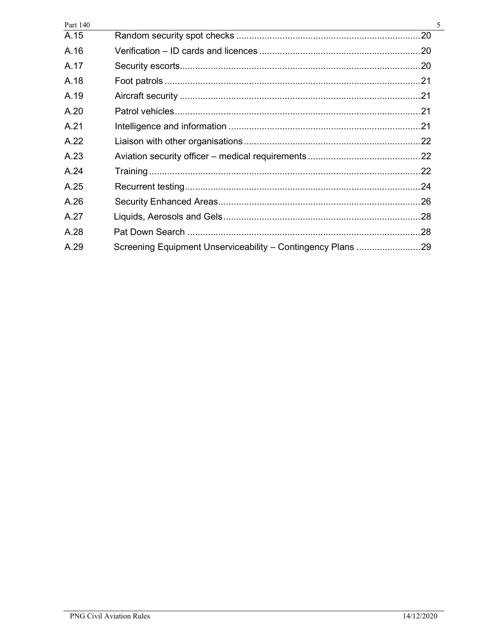| Part 140 |                                                             | 5   |
|----------|-------------------------------------------------------------|-----|
| A.15     |                                                             | .20 |
| A.16     |                                                             |     |
| A.17     |                                                             |     |
| A.18     |                                                             |     |
| A.19     |                                                             |     |
| A.20     |                                                             |     |
| A.21     |                                                             |     |
| A.22     |                                                             |     |
| A.23     |                                                             |     |
| A.24     |                                                             |     |
| A.25     |                                                             |     |
| A.26     |                                                             |     |
| A.27     |                                                             |     |
| A.28     |                                                             | .28 |
| A.29     | Screening Equipment Unserviceability – Contingency Plans 29 |     |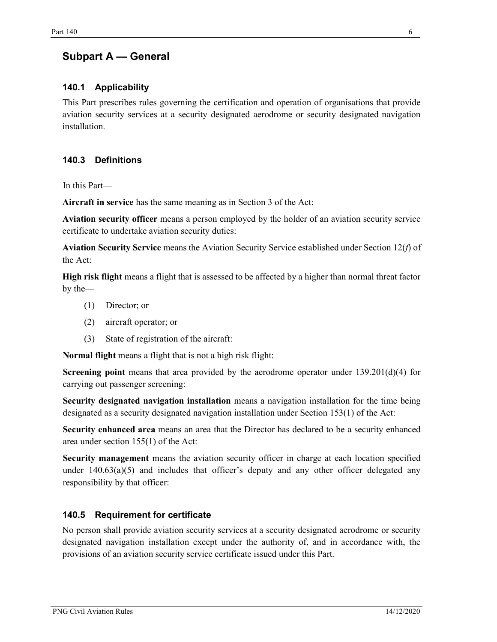# Subpart A — General

# 140.1 Applicability

This Part prescribes rules governing the certification and operation of organisations that provide aviation security services at a security designated aerodrome or security designated navigation installation.

#### 140.3 Definitions

In this Part—

Aircraft in service has the same meaning as in Section 3 of the Act:

Aviation security officer means a person employed by the holder of an aviation security service certificate to undertake aviation security duties:

Aviation Security Service means the Aviation Security Service established under Section 12(f) of the Act:

High risk flight means a flight that is assessed to be affected by a higher than normal threat factor by the—

- (1) Director; or
- (2) aircraft operator; or
- (3) State of registration of the aircraft:

Normal flight means a flight that is not a high risk flight:

Screening point means that area provided by the aerodrome operator under 139.201(d)(4) for carrying out passenger screening:

Security designated navigation installation means a navigation installation for the time being designated as a security designated navigation installation under Section 153(1) of the Act:

Security enhanced area means an area that the Director has declared to be a security enhanced area under section 155(1) of the Act:

Security management means the aviation security officer in charge at each location specified under  $140.63(a)(5)$  and includes that officer's deputy and any other officer delegated any responsibility by that officer:

# 140.5 Requirement for certificate

No person shall provide aviation security services at a security designated aerodrome or security designated navigation installation except under the authority of, and in accordance with, the provisions of an aviation security service certificate issued under this Part.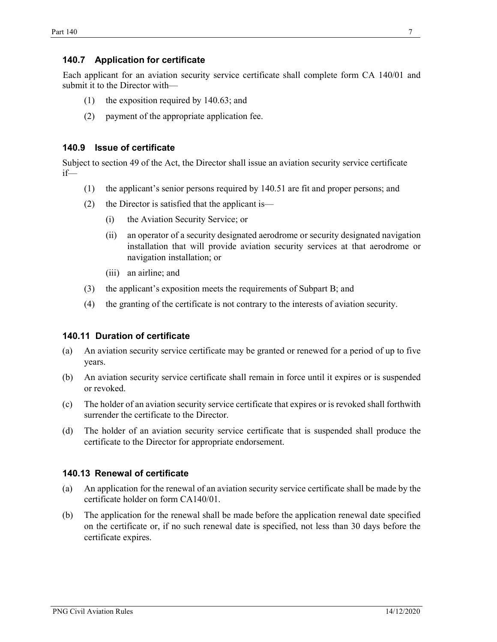#### 140.7 Application for certificate

Each applicant for an aviation security service certificate shall complete form CA 140/01 and submit it to the Director with—

- (1) the exposition required by 140.63; and
- (2) payment of the appropriate application fee.

#### 140.9 Issue of certificate

Subject to section 49 of the Act, the Director shall issue an aviation security service certificate if—

- (1) the applicant's senior persons required by 140.51 are fit and proper persons; and
- (2) the Director is satisfied that the applicant is—
	- (i) the Aviation Security Service; or
	- (ii) an operator of a security designated aerodrome or security designated navigation installation that will provide aviation security services at that aerodrome or navigation installation; or
	- (iii) an airline; and
- (3) the applicant's exposition meets the requirements of Subpart B; and
- (4) the granting of the certificate is not contrary to the interests of aviation security.

#### 140.11 Duration of certificate

- (a) An aviation security service certificate may be granted or renewed for a period of up to five years.
- (b) An aviation security service certificate shall remain in force until it expires or is suspended or revoked.
- (c) The holder of an aviation security service certificate that expires or is revoked shall forthwith surrender the certificate to the Director.
- (d) The holder of an aviation security service certificate that is suspended shall produce the certificate to the Director for appropriate endorsement.

#### 140.13 Renewal of certificate

- (a) An application for the renewal of an aviation security service certificate shall be made by the certificate holder on form CA140/01.
- (b) The application for the renewal shall be made before the application renewal date specified on the certificate or, if no such renewal date is specified, not less than 30 days before the certificate expires.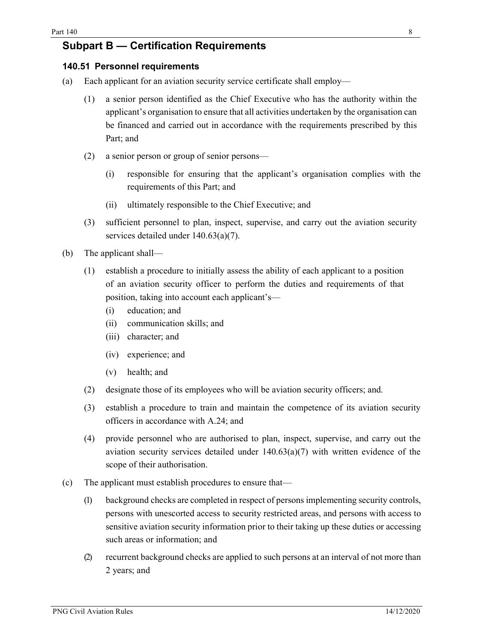# Subpart B — Certification Requirements

#### 140.51 Personnel requirements

- (a) Each applicant for an aviation security service certificate shall employ—
	- (1) a senior person identified as the Chief Executive who has the authority within the applicant's organisation to ensure that all activities undertaken by the organisation can be financed and carried out in accordance with the requirements prescribed by this Part; and
	- (2) a senior person or group of senior persons—
		- (i) responsible for ensuring that the applicant's organisation complies with the requirements of this Part; and
		- (ii) ultimately responsible to the Chief Executive; and
	- (3) sufficient personnel to plan, inspect, supervise, and carry out the aviation security services detailed under 140.63(a)(7).
- (b) The applicant shall—
	- (1) establish a procedure to initially assess the ability of each applicant to a position of an aviation security officer to perform the duties and requirements of that position, taking into account each applicant's—
		- (i) education; and
		- (ii) communication skills; and
		- (iii) character; and
		- (iv) experience; and
		- (v) health; and
	- (2) designate those of its employees who will be aviation security officers; and.
	- (3) establish a procedure to train and maintain the competence of its aviation security officers in accordance with A.24; and
	- (4) provide personnel who are authorised to plan, inspect, supervise, and carry out the aviation security services detailed under  $140.63(a)(7)$  with written evidence of the scope of their authorisation.
- (c) The applicant must establish procedures to ensure that—
	- (1) background checks are completed in respect of persons implementing security controls, persons with unescorted access to security restricted areas, and persons with access to sensitive aviation security information prior to their taking up these duties or accessing such areas or information; and
	- (2) recurrent background checks are applied to such persons at an interval of not more than 2 years; and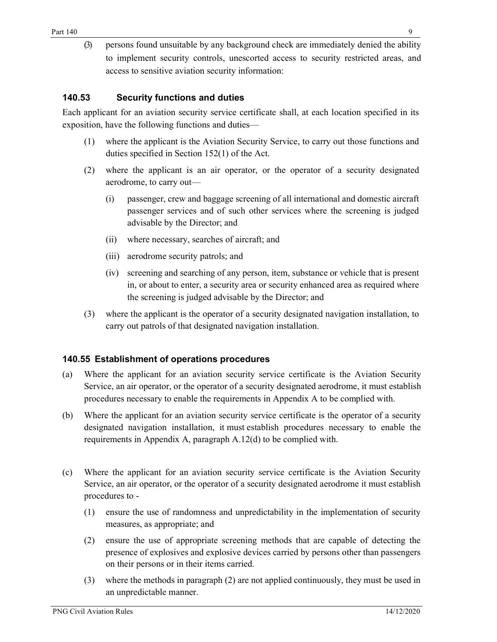#### 140.53 Security functions and duties

Each applicant for an aviation security service certificate shall, at each location specified in its exposition, have the following functions and duties—

- (1) where the applicant is the Aviation Security Service, to carry out those functions and duties specified in Section 152(1) of the Act.
- (2) where the applicant is an air operator, or the operator of a security designated aerodrome, to carry out—
	- (i) passenger, crew and baggage screening of all international and domestic aircraft passenger services and of such other services where the screening is judged advisable by the Director; and
	- (ii) where necessary, searches of aircraft; and
	- (iii) aerodrome security patrols; and
	- (iv) screening and searching of any person, item, substance or vehicle that is present in, or about to enter, a security area or security enhanced area as required where the screening is judged advisable by the Director; and
- (3) where the applicant is the operator of a security designated navigation installation, to carry out patrols of that designated navigation installation.

# 140.55 Establishment of operations procedures

- (a) Where the applicant for an aviation security service certificate is the Aviation Security Service, an air operator, or the operator of a security designated aerodrome, it must establish procedures necessary to enable the requirements in Appendix A to be complied with.
- (b) Where the applicant for an aviation security service certificate is the operator of a security designated navigation installation, it must establish procedures necessary to enable the requirements in Appendix A, paragraph A.12(d) to be complied with.
- (c) Where the applicant for an aviation security service certificate is the Aviation Security Service, an air operator, or the operator of a security designated aerodrome it must establish procedures to -
	- (1) ensure the use of randomness and unpredictability in the implementation of security measures, as appropriate; and
	- (2) ensure the use of appropriate screening methods that are capable of detecting the presence of explosives and explosive devices carried by persons other than passengers on their persons or in their items carried.
	- (3) where the methods in paragraph (2) are not applied continuously, they must be used in an unpredictable manner.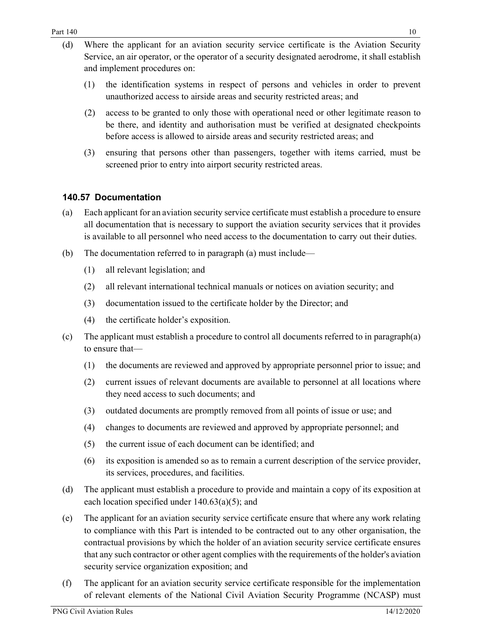- (d) Where the applicant for an aviation security service certificate is the Aviation Security Service, an air operator, or the operator of a security designated aerodrome, it shall establish and implement procedures on:
	- (1) the identification systems in respect of persons and vehicles in order to prevent unauthorized access to airside areas and security restricted areas; and
	- (2) access to be granted to only those with operational need or other legitimate reason to be there, and identity and authorisation must be verified at designated checkpoints before access is allowed to airside areas and security restricted areas; and
	- (3) ensuring that persons other than passengers, together with items carried, must be screened prior to entry into airport security restricted areas.

# 140.57 Documentation

- (a) Each applicant for an aviation security service certificate must establish a procedure to ensure all documentation that is necessary to support the aviation security services that it provides is available to all personnel who need access to the documentation to carry out their duties.
- (b) The documentation referred to in paragraph (a) must include—
	- (1) all relevant legislation; and
	- (2) all relevant international technical manuals or notices on aviation security; and
	- (3) documentation issued to the certificate holder by the Director; and
	- (4) the certificate holder's exposition.
- (c) The applicant must establish a procedure to control all documents referred to in paragraph(a) to ensure that—
	- (1) the documents are reviewed and approved by appropriate personnel prior to issue; and
	- (2) current issues of relevant documents are available to personnel at all locations where they need access to such documents; and
	- (3) outdated documents are promptly removed from all points of issue or use; and
	- (4) changes to documents are reviewed and approved by appropriate personnel; and
	- (5) the current issue of each document can be identified; and
	- (6) its exposition is amended so as to remain a current description of the service provider, its services, procedures, and facilities.
- (d) The applicant must establish a procedure to provide and maintain a copy of its exposition at each location specified under 140.63(a)(5); and
- (e) The applicant for an aviation security service certificate ensure that where any work relating to compliance with this Part is intended to be contracted out to any other organisation, the contractual provisions by which the holder of an aviation security service certificate ensures that any such contractor or other agent complies with the requirements of the holder's aviation security service organization exposition; and
- (f) The applicant for an aviation security service certificate responsible for the implementation of relevant elements of the National Civil Aviation Security Programme (NCASP) must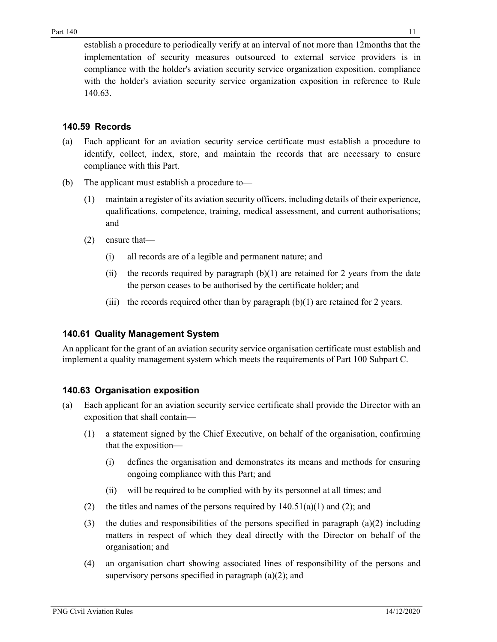establish a procedure to periodically verify at an interval of not more than 12months that the implementation of security measures outsourced to external service providers is in compliance with the holder's aviation security service organization exposition. compliance with the holder's aviation security service organization exposition in reference to Rule 140.63.

#### 140.59 Records

- (a) Each applicant for an aviation security service certificate must establish a procedure to identify, collect, index, store, and maintain the records that are necessary to ensure compliance with this Part.
- (b) The applicant must establish a procedure to—
	- (1) maintain a register of its aviation security officers, including details of their experience, qualifications, competence, training, medical assessment, and current authorisations; and
	- (2) ensure that—
		- (i) all records are of a legible and permanent nature; and
		- (ii) the records required by paragraph  $(b)(1)$  are retained for 2 years from the date the person ceases to be authorised by the certificate holder; and
		- (iii) the records required other than by paragraph  $(b)(1)$  are retained for 2 years.

# 140.61 Quality Management System

An applicant for the grant of an aviation security service organisation certificate must establish and implement a quality management system which meets the requirements of Part 100 Subpart C.

# 140.63 Organisation exposition

- (a) Each applicant for an aviation security service certificate shall provide the Director with an exposition that shall contain—
	- (1) a statement signed by the Chief Executive, on behalf of the organisation, confirming that the exposition—
		- (i) defines the organisation and demonstrates its means and methods for ensuring ongoing compliance with this Part; and
		- (ii) will be required to be complied with by its personnel at all times; and
	- (2) the titles and names of the persons required by  $140.51(a)(1)$  and (2); and
	- (3) the duties and responsibilities of the persons specified in paragraph (a)(2) including matters in respect of which they deal directly with the Director on behalf of the organisation; and
	- (4) an organisation chart showing associated lines of responsibility of the persons and supervisory persons specified in paragraph (a)(2); and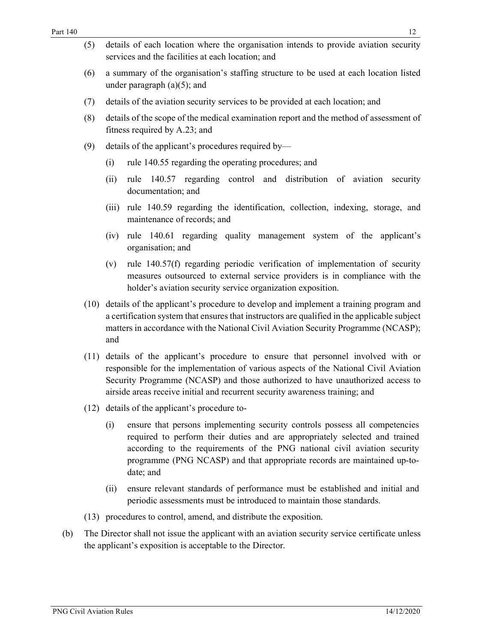- (5) details of each location where the organisation intends to provide aviation security services and the facilities at each location; and
- (6) a summary of the organisation's staffing structure to be used at each location listed under paragraph (a)(5); and
- (7) details of the aviation security services to be provided at each location; and
- (8) details of the scope of the medical examination report and the method of assessment of fitness required by A.23; and
- (9) details of the applicant's procedures required by—
	- (i) rule 140.55 regarding the operating procedures; and
	- (ii) rule 140.57 regarding control and distribution of aviation security documentation; and
	- (iii) rule 140.59 regarding the identification, collection, indexing, storage, and maintenance of records; and
	- (iv) rule 140.61 regarding quality management system of the applicant's organisation; and
	- (v) rule 140.57(f) regarding periodic verification of implementation of security measures outsourced to external service providers is in compliance with the holder's aviation security service organization exposition.
- (10) details of the applicant's procedure to develop and implement a training program and a certification system that ensures that instructors are qualified in the applicable subject matters in accordance with the National Civil Aviation Security Programme (NCASP); and
- (11) details of the applicant's procedure to ensure that personnel involved with or responsible for the implementation of various aspects of the National Civil Aviation Security Programme (NCASP) and those authorized to have unauthorized access to airside areas receive initial and recurrent security awareness training; and
- (12) details of the applicant's procedure to-
	- (i) ensure that persons implementing security controls possess all competencies required to perform their duties and are appropriately selected and trained according to the requirements of the PNG national civil aviation security programme (PNG NCASP) and that appropriate records are maintained up-todate; and
	- (ii) ensure relevant standards of performance must be established and initial and periodic assessments must be introduced to maintain those standards.
- (13) procedures to control, amend, and distribute the exposition.
- (b) The Director shall not issue the applicant with an aviation security service certificate unless the applicant's exposition is acceptable to the Director.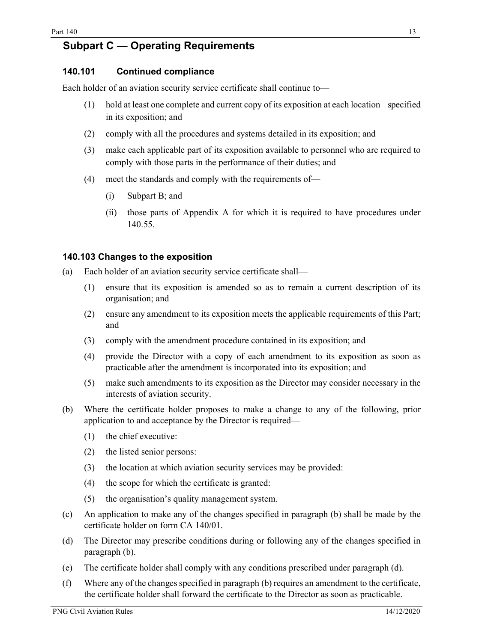# Subpart C — Operating Requirements

#### 140.101 Continued compliance

Each holder of an aviation security service certificate shall continue to—

- (1) hold at least one complete and current copy of its exposition at each location specified in its exposition; and
- (2) comply with all the procedures and systems detailed in its exposition; and
- (3) make each applicable part of its exposition available to personnel who are required to comply with those parts in the performance of their duties; and
- (4) meet the standards and comply with the requirements of—
	- (i) Subpart B; and
	- (ii) those parts of Appendix A for which it is required to have procedures under 140.55.

#### 140.103 Changes to the exposition

- (a) Each holder of an aviation security service certificate shall—
	- (1) ensure that its exposition is amended so as to remain a current description of its organisation; and
	- (2) ensure any amendment to its exposition meets the applicable requirements of this Part; and
	- (3) comply with the amendment procedure contained in its exposition; and
	- (4) provide the Director with a copy of each amendment to its exposition as soon as practicable after the amendment is incorporated into its exposition; and
	- (5) make such amendments to its exposition as the Director may consider necessary in the interests of aviation security.
- (b) Where the certificate holder proposes to make a change to any of the following, prior application to and acceptance by the Director is required—
	- (1) the chief executive:
	- (2) the listed senior persons:
	- (3) the location at which aviation security services may be provided:
	- (4) the scope for which the certificate is granted:
	- (5) the organisation's quality management system.
- (c) An application to make any of the changes specified in paragraph (b) shall be made by the certificate holder on form CA 140/01.
- (d) The Director may prescribe conditions during or following any of the changes specified in paragraph (b).
- (e) The certificate holder shall comply with any conditions prescribed under paragraph (d).
- (f) Where any of the changes specified in paragraph (b) requires an amendment to the certificate, the certificate holder shall forward the certificate to the Director as soon as practicable.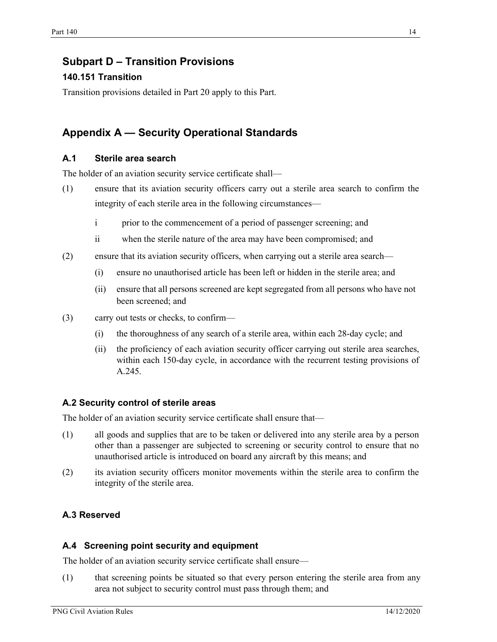# Subpart D – Transition Provisions

#### 140.151 Transition

Transition provisions detailed in Part 20 apply to this Part.

# Appendix A — Security Operational Standards

#### A.1 Sterile area search

The holder of an aviation security service certificate shall—

- (1) ensure that its aviation security officers carry out a sterile area search to confirm the integrity of each sterile area in the following circumstances
	- i prior to the commencement of a period of passenger screening; and
	- ii when the sterile nature of the area may have been compromised; and
- (2) ensure that its aviation security officers, when carrying out a sterile area search—
	- (i) ensure no unauthorised article has been left or hidden in the sterile area; and
	- (ii) ensure that all persons screened are kept segregated from all persons who have not been screened; and
- (3) carry out tests or checks, to confirm—
	- (i) the thoroughness of any search of a sterile area, within each 28-day cycle; and
	- (ii) the proficiency of each aviation security officer carrying out sterile area searches, within each 150-day cycle, in accordance with the recurrent testing provisions of A.245.

#### A.2 Security control of sterile areas

The holder of an aviation security service certificate shall ensure that—

- (1) all goods and supplies that are to be taken or delivered into any sterile area by a person other than a passenger are subjected to screening or security control to ensure that no unauthorised article is introduced on board any aircraft by this means; and
- (2) its aviation security officers monitor movements within the sterile area to confirm the integrity of the sterile area.

# A.3 Reserved

#### A.4 Screening point security and equipment

The holder of an aviation security service certificate shall ensure—

(1) that screening points be situated so that every person entering the sterile area from any area not subject to security control must pass through them; and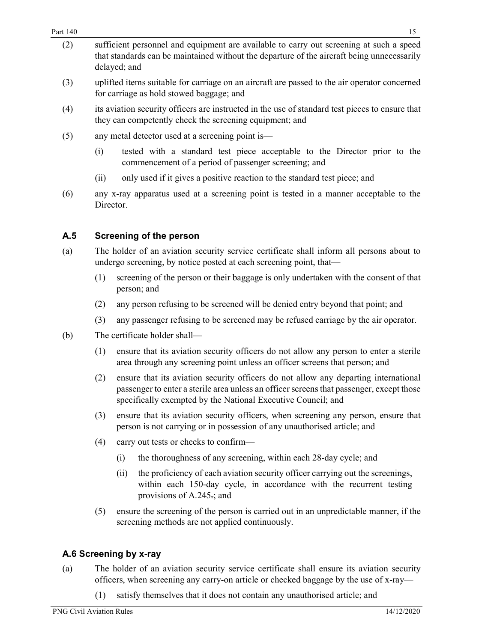| (2) | sufficient personnel and equipment are available to carry out screening at such a speed    |
|-----|--------------------------------------------------------------------------------------------|
|     | that standards can be maintained without the departure of the aircraft being unnecessarily |
|     | delayed; and                                                                               |
|     |                                                                                            |

- (3) uplifted items suitable for carriage on an aircraft are passed to the air operator concerned for carriage as hold stowed baggage; and
- (4) its aviation security officers are instructed in the use of standard test pieces to ensure that they can competently check the screening equipment; and
- (5) any metal detector used at a screening point is—
	- (i) tested with a standard test piece acceptable to the Director prior to the commencement of a period of passenger screening; and
	- (ii) only used if it gives a positive reaction to the standard test piece; and
- (6) any x-ray apparatus used at a screening point is tested in a manner acceptable to the Director.

# A.5 Screening of the person

- (a) The holder of an aviation security service certificate shall inform all persons about to undergo screening, by notice posted at each screening point, that—
	- (1) screening of the person or their baggage is only undertaken with the consent of that person; and
	- (2) any person refusing to be screened will be denied entry beyond that point; and
	- (3) any passenger refusing to be screened may be refused carriage by the air operator.
- (b) The certificate holder shall—
	- (1) ensure that its aviation security officers do not allow any person to enter a sterile area through any screening point unless an officer screens that person; and
	- (2) ensure that its aviation security officers do not allow any departing international passenger to enter a sterile area unless an officer screens that passenger, except those specifically exempted by the National Executive Council; and
	- (3) ensure that its aviation security officers, when screening any person, ensure that person is not carrying or in possession of any unauthorised article; and
	- (4) carry out tests or checks to confirm—
		- (i) the thoroughness of any screening, within each 28-day cycle; and
		- (ii) the proficiency of each aviation security officer carrying out the screenings, within each 150-day cycle, in accordance with the recurrent testing provisions of A.245.; and
	- (5) ensure the screening of the person is carried out in an unpredictable manner, if the screening methods are not applied continuously.

# A.6 Screening by x-ray

- (a) The holder of an aviation security service certificate shall ensure its aviation security officers, when screening any carry-on article or checked baggage by the use of x-ray—
	- (1) satisfy themselves that it does not contain any unauthorised article; and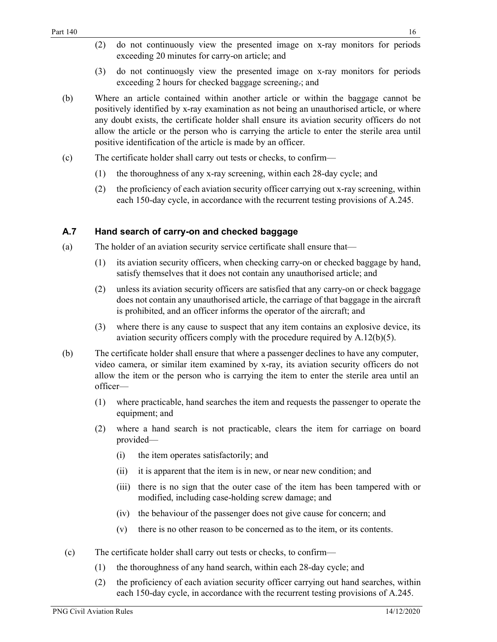- (3) do not continuously view the presented image on x-ray monitors for periods exceeding 2 hours for checked baggage screening.; and
- (b) Where an article contained within another article or within the baggage cannot be positively identified by x-ray examination as not being an unauthorised article, or where any doubt exists, the certificate holder shall ensure its aviation security officers do not allow the article or the person who is carrying the article to enter the sterile area until positive identification of the article is made by an officer.
- (c) The certificate holder shall carry out tests or checks, to confirm—
	- (1) the thoroughness of any x-ray screening, within each 28-day cycle; and
	- (2) the proficiency of each aviation security officer carrying out x-ray screening, within each 150-day cycle, in accordance with the recurrent testing provisions of A.245.

#### A.7 Hand search of carry-on and checked baggage

- (a) The holder of an aviation security service certificate shall ensure that—
	- (1) its aviation security officers, when checking carry-on or checked baggage by hand, satisfy themselves that it does not contain any unauthorised article; and
	- (2) unless its aviation security officers are satisfied that any carry-on or check baggage does not contain any unauthorised article, the carriage of that baggage in the aircraft is prohibited, and an officer informs the operator of the aircraft; and
	- (3) where there is any cause to suspect that any item contains an explosive device, its aviation security officers comply with the procedure required by A.12(b)(5).
- (b) The certificate holder shall ensure that where a passenger declines to have any computer, video camera, or similar item examined by x-ray, its aviation security officers do not allow the item or the person who is carrying the item to enter the sterile area until an officer—
	- (1) where practicable, hand searches the item and requests the passenger to operate the equipment; and
	- (2) where a hand search is not practicable, clears the item for carriage on board provided—
		- (i) the item operates satisfactorily; and
		- (ii) it is apparent that the item is in new, or near new condition; and
		- (iii) there is no sign that the outer case of the item has been tampered with or modified, including case-holding screw damage; and
		- (iv) the behaviour of the passenger does not give cause for concern; and
		- (v) there is no other reason to be concerned as to the item, or its contents.
- (c) The certificate holder shall carry out tests or checks, to confirm—
	- (1) the thoroughness of any hand search, within each 28-day cycle; and
	- (2) the proficiency of each aviation security officer carrying out hand searches, within each 150-day cycle, in accordance with the recurrent testing provisions of A.245.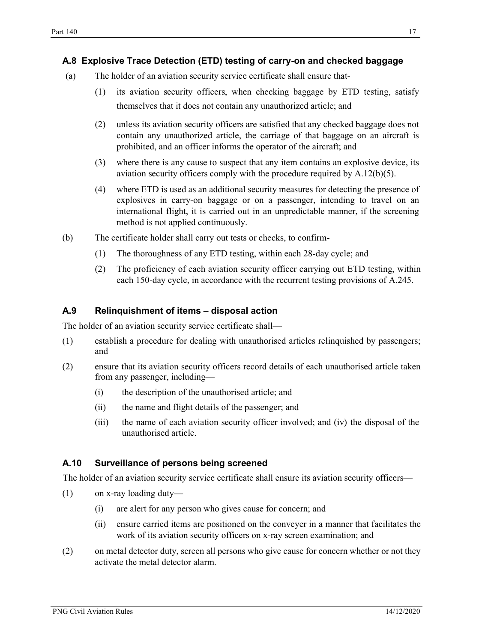#### A.8 Explosive Trace Detection (ETD) testing of carry-on and checked baggage

- (a) The holder of an aviation security service certificate shall ensure that-
	- (1) its aviation security officers, when checking baggage by ETD testing, satisfy themselves that it does not contain any unauthorized article; and
	- (2) unless its aviation security officers are satisfied that any checked baggage does not contain any unauthorized article, the carriage of that baggage on an aircraft is prohibited, and an officer informs the operator of the aircraft; and
	- (3) where there is any cause to suspect that any item contains an explosive device, its aviation security officers comply with the procedure required by A.12(b)(5).
	- (4) where ETD is used as an additional security measures for detecting the presence of explosives in carry-on baggage or on a passenger, intending to travel on an international flight, it is carried out in an unpredictable manner, if the screening method is not applied continuously.
- (b) The certificate holder shall carry out tests or checks, to confirm-
	- (1) The thoroughness of any ETD testing, within each 28-day cycle; and
	- (2) The proficiency of each aviation security officer carrying out ETD testing, within each 150-day cycle, in accordance with the recurrent testing provisions of A.245.

#### A.9 Relinquishment of items – disposal action

The holder of an aviation security service certificate shall—

- (1) establish a procedure for dealing with unauthorised articles relinquished by passengers; and
- (2) ensure that its aviation security officers record details of each unauthorised article taken from any passenger, including—
	- (i) the description of the unauthorised article; and
	- (ii) the name and flight details of the passenger; and
	- (iii) the name of each aviation security officer involved; and (iv) the disposal of the unauthorised article.

# A.10 Surveillance of persons being screened

The holder of an aviation security service certificate shall ensure its aviation security officers—

- (1) on x-ray loading duty—
	- (i) are alert for any person who gives cause for concern; and
	- (ii) ensure carried items are positioned on the conveyer in a manner that facilitates the work of its aviation security officers on x-ray screen examination; and
- (2) on metal detector duty, screen all persons who give cause for concern whether or not they activate the metal detector alarm.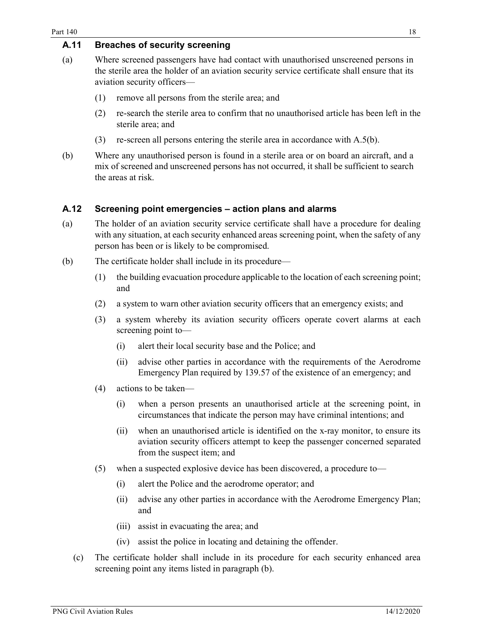#### A.11 Breaches of security screening

- (a) Where screened passengers have had contact with unauthorised unscreened persons in the sterile area the holder of an aviation security service certificate shall ensure that its aviation security officers—
	- (1) remove all persons from the sterile area; and
	- (2) re-search the sterile area to confirm that no unauthorised article has been left in the sterile area; and
	- (3) re-screen all persons entering the sterile area in accordance with A.5(b).
- (b) Where any unauthorised person is found in a sterile area or on board an aircraft, and a mix of screened and unscreened persons has not occurred, it shall be sufficient to search the areas at risk.

#### A.12 Screening point emergencies – action plans and alarms

- (a) The holder of an aviation security service certificate shall have a procedure for dealing with any situation, at each security enhanced areas screening point, when the safety of any person has been or is likely to be compromised.
- (b) The certificate holder shall include in its procedure—
	- (1) the building evacuation procedure applicable to the location of each screening point; and
	- (2) a system to warn other aviation security officers that an emergency exists; and
	- (3) a system whereby its aviation security officers operate covert alarms at each screening point to—
		- (i) alert their local security base and the Police; and
		- (ii) advise other parties in accordance with the requirements of the Aerodrome Emergency Plan required by 139.57 of the existence of an emergency; and
	- (4) actions to be taken—
		- (i) when a person presents an unauthorised article at the screening point, in circumstances that indicate the person may have criminal intentions; and
		- (ii) when an unauthorised article is identified on the x-ray monitor, to ensure its aviation security officers attempt to keep the passenger concerned separated from the suspect item; and
	- (5) when a suspected explosive device has been discovered, a procedure to—
		- (i) alert the Police and the aerodrome operator; and
		- (ii) advise any other parties in accordance with the Aerodrome Emergency Plan; and
		- (iii) assist in evacuating the area; and
		- (iv) assist the police in locating and detaining the offender.
	- (c) The certificate holder shall include in its procedure for each security enhanced area screening point any items listed in paragraph (b).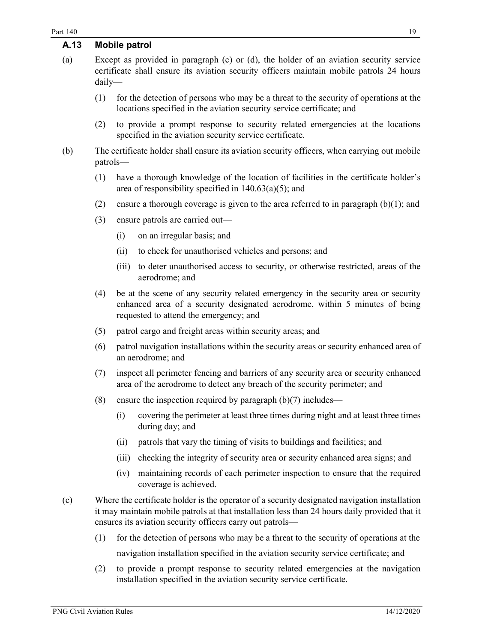#### A.13 Mobile patrol

- (a) Except as provided in paragraph (c) or (d), the holder of an aviation security service certificate shall ensure its aviation security officers maintain mobile patrols 24 hours daily—
	- (1) for the detection of persons who may be a threat to the security of operations at the locations specified in the aviation security service certificate; and
	- (2) to provide a prompt response to security related emergencies at the locations specified in the aviation security service certificate.
- (b) The certificate holder shall ensure its aviation security officers, when carrying out mobile patrols—
	- (1) have a thorough knowledge of the location of facilities in the certificate holder's area of responsibility specified in  $140.63(a)(5)$ ; and
	- (2) ensure a thorough coverage is given to the area referred to in paragraph (b)(1); and
	- (3) ensure patrols are carried out—
		- (i) on an irregular basis; and
		- (ii) to check for unauthorised vehicles and persons; and
		- (iii) to deter unauthorised access to security, or otherwise restricted, areas of the aerodrome; and
	- (4) be at the scene of any security related emergency in the security area or security enhanced area of a security designated aerodrome, within 5 minutes of being requested to attend the emergency; and
	- (5) patrol cargo and freight areas within security areas; and
	- (6) patrol navigation installations within the security areas or security enhanced area of an aerodrome; and
	- (7) inspect all perimeter fencing and barriers of any security area or security enhanced area of the aerodrome to detect any breach of the security perimeter; and
	- (8) ensure the inspection required by paragraph  $(b)(7)$  includes—
		- (i) covering the perimeter at least three times during night and at least three times during day; and
		- (ii) patrols that vary the timing of visits to buildings and facilities; and
		- (iii) checking the integrity of security area or security enhanced area signs; and
		- (iv) maintaining records of each perimeter inspection to ensure that the required coverage is achieved.
- (c) Where the certificate holder is the operator of a security designated navigation installation it may maintain mobile patrols at that installation less than 24 hours daily provided that it ensures its aviation security officers carry out patrols—
	- (1) for the detection of persons who may be a threat to the security of operations at the navigation installation specified in the aviation security service certificate; and
	- (2) to provide a prompt response to security related emergencies at the navigation installation specified in the aviation security service certificate.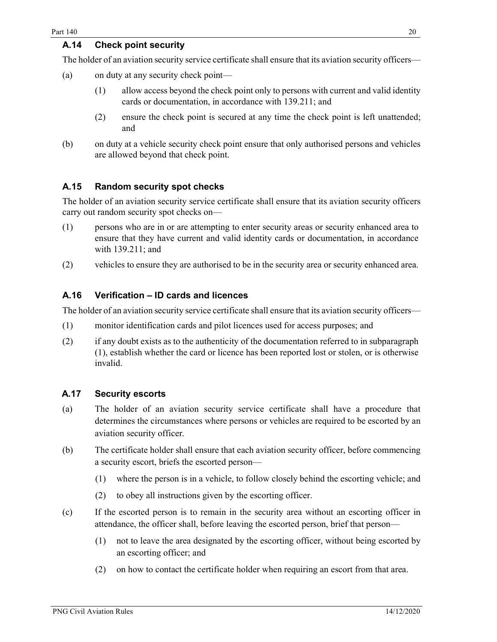# A.14 Check point security

The holder of an aviation security service certificate shall ensure that its aviation security officers—

- (a) on duty at any security check point—
	- (1) allow access beyond the check point only to persons with current and valid identity cards or documentation, in accordance with 139.211; and
	- (2) ensure the check point is secured at any time the check point is left unattended; and
- (b) on duty at a vehicle security check point ensure that only authorised persons and vehicles are allowed beyond that check point.

# A.15 Random security spot checks

The holder of an aviation security service certificate shall ensure that its aviation security officers carry out random security spot checks on—

- (1) persons who are in or are attempting to enter security areas or security enhanced area to ensure that they have current and valid identity cards or documentation, in accordance with 139.211; and
- (2) vehicles to ensure they are authorised to be in the security area or security enhanced area.

#### A.16 Verification – ID cards and licences

The holder of an aviation security service certificate shall ensure that its aviation security officers—

- (1) monitor identification cards and pilot licences used for access purposes; and
- (2) if any doubt exists as to the authenticity of the documentation referred to in subparagraph (1), establish whether the card or licence has been reported lost or stolen, or is otherwise invalid.

# A.17 Security escorts

- (a) The holder of an aviation security service certificate shall have a procedure that determines the circumstances where persons or vehicles are required to be escorted by an aviation security officer.
- (b) The certificate holder shall ensure that each aviation security officer, before commencing a security escort, briefs the escorted person—
	- (1) where the person is in a vehicle, to follow closely behind the escorting vehicle; and
	- (2) to obey all instructions given by the escorting officer.
- (c) If the escorted person is to remain in the security area without an escorting officer in attendance, the officer shall, before leaving the escorted person, brief that person—
	- (1) not to leave the area designated by the escorting officer, without being escorted by an escorting officer; and
	- (2) on how to contact the certificate holder when requiring an escort from that area.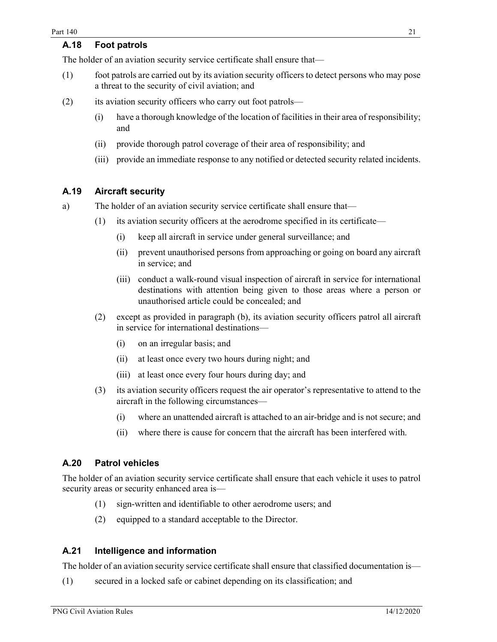#### A.18 Foot patrols

The holder of an aviation security service certificate shall ensure that—

- (1) foot patrols are carried out by its aviation security officers to detect persons who may pose a threat to the security of civil aviation; and
- (2) its aviation security officers who carry out foot patrols—
	- (i) have a thorough knowledge of the location of facilities in their area of responsibility; and
	- (ii) provide thorough patrol coverage of their area of responsibility; and
	- (iii) provide an immediate response to any notified or detected security related incidents.

#### A.19 Aircraft security

a) The holder of an aviation security service certificate shall ensure that—

- (1) its aviation security officers at the aerodrome specified in its certificate—
	- (i) keep all aircraft in service under general surveillance; and
	- (ii) prevent unauthorised persons from approaching or going on board any aircraft in service; and
	- (iii) conduct a walk-round visual inspection of aircraft in service for international destinations with attention being given to those areas where a person or unauthorised article could be concealed; and
- (2) except as provided in paragraph (b), its aviation security officers patrol all aircraft in service for international destinations—
	- (i) on an irregular basis; and
	- (ii) at least once every two hours during night; and
	- (iii) at least once every four hours during day; and
- (3) its aviation security officers request the air operator's representative to attend to the aircraft in the following circumstances—
	- (i) where an unattended aircraft is attached to an air-bridge and is not secure; and
	- (ii) where there is cause for concern that the aircraft has been interfered with.

#### A.20 Patrol vehicles

The holder of an aviation security service certificate shall ensure that each vehicle it uses to patrol security areas or security enhanced area is—

- (1) sign-written and identifiable to other aerodrome users; and
- (2) equipped to a standard acceptable to the Director.

# A.21 Intelligence and information

The holder of an aviation security service certificate shall ensure that classified documentation is—

(1) secured in a locked safe or cabinet depending on its classification; and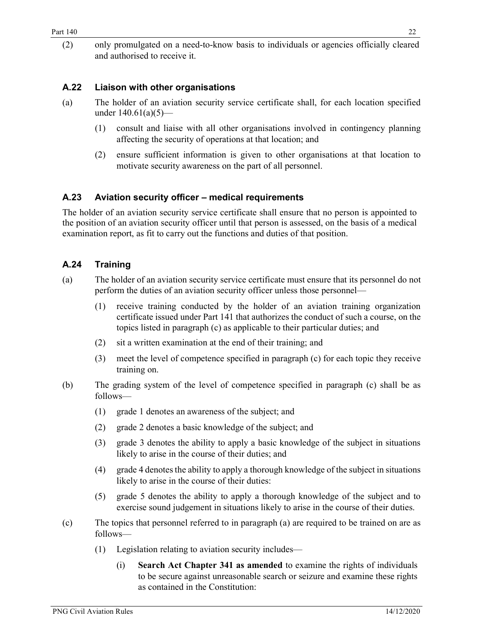# A.22 Liaison with other organisations

- (a) The holder of an aviation security service certificate shall, for each location specified under  $140.61(a)(5)$ —
	- (1) consult and liaise with all other organisations involved in contingency planning affecting the security of operations at that location; and
	- (2) ensure sufficient information is given to other organisations at that location to motivate security awareness on the part of all personnel.

# A.23 Aviation security officer – medical requirements

The holder of an aviation security service certificate shall ensure that no person is appointed to the position of an aviation security officer until that person is assessed, on the basis of a medical examination report, as fit to carry out the functions and duties of that position.

# A.24 Training

- (a) The holder of an aviation security service certificate must ensure that its personnel do not perform the duties of an aviation security officer unless those personnel—
	- (1) receive training conducted by the holder of an aviation training organization certificate issued under Part 141 that authorizes the conduct of such a course, on the topics listed in paragraph (c) as applicable to their particular duties; and
	- (2) sit a written examination at the end of their training; and
	- (3) meet the level of competence specified in paragraph (c) for each topic they receive training on.
- (b) The grading system of the level of competence specified in paragraph (c) shall be as follows—
	- (1) grade 1 denotes an awareness of the subject; and
	- (2) grade 2 denotes a basic knowledge of the subject; and
	- (3) grade 3 denotes the ability to apply a basic knowledge of the subject in situations likely to arise in the course of their duties; and
	- (4) grade 4 denotes the ability to apply a thorough knowledge of the subject in situations likely to arise in the course of their duties:
	- (5) grade 5 denotes the ability to apply a thorough knowledge of the subject and to exercise sound judgement in situations likely to arise in the course of their duties.
- (c) The topics that personnel referred to in paragraph (a) are required to be trained on are as follows—
	- (1) Legislation relating to aviation security includes—
		- (i) Search Act Chapter 341 as amended to examine the rights of individuals to be secure against unreasonable search or seizure and examine these rights as contained in the Constitution: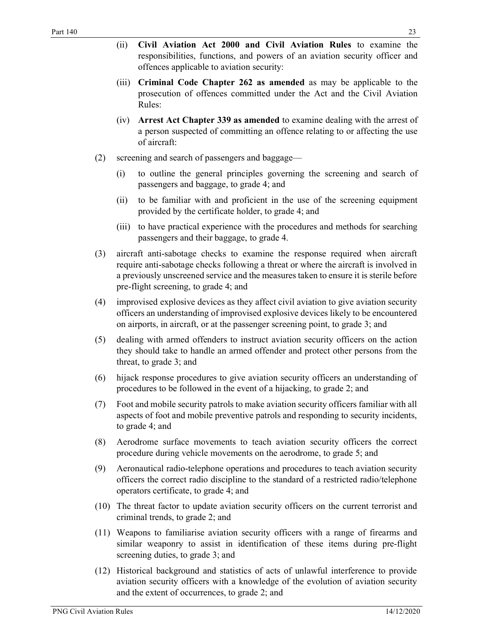- (ii) Civil Aviation Act 2000 and Civil Aviation Rules to examine the responsibilities, functions, and powers of an aviation security officer and offences applicable to aviation security:
- (iii) Criminal Code Chapter 262 as amended as may be applicable to the prosecution of offences committed under the Act and the Civil Aviation Rules:
- (iv) Arrest Act Chapter 339 as amended to examine dealing with the arrest of a person suspected of committing an offence relating to or affecting the use of aircraft:
- (2) screening and search of passengers and baggage—
	- (i) to outline the general principles governing the screening and search of passengers and baggage, to grade 4; and
	- (ii) to be familiar with and proficient in the use of the screening equipment provided by the certificate holder, to grade 4; and
	- (iii) to have practical experience with the procedures and methods for searching passengers and their baggage, to grade 4.
- (3) aircraft anti-sabotage checks to examine the response required when aircraft require anti-sabotage checks following a threat or where the aircraft is involved in a previously unscreened service and the measures taken to ensure it is sterile before pre-flight screening, to grade 4; and
- (4) improvised explosive devices as they affect civil aviation to give aviation security officers an understanding of improvised explosive devices likely to be encountered on airports, in aircraft, or at the passenger screening point, to grade 3; and
- (5) dealing with armed offenders to instruct aviation security officers on the action they should take to handle an armed offender and protect other persons from the threat, to grade 3; and
- (6) hijack response procedures to give aviation security officers an understanding of procedures to be followed in the event of a hijacking, to grade 2; and
- (7) Foot and mobile security patrols to make aviation security officers familiar with all aspects of foot and mobile preventive patrols and responding to security incidents, to grade 4; and
- (8) Aerodrome surface movements to teach aviation security officers the correct procedure during vehicle movements on the aerodrome, to grade 5; and
- (9) Aeronautical radio-telephone operations and procedures to teach aviation security officers the correct radio discipline to the standard of a restricted radio/telephone operators certificate, to grade 4; and
- (10) The threat factor to update aviation security officers on the current terrorist and criminal trends, to grade 2; and
- (11) Weapons to familiarise aviation security officers with a range of firearms and similar weaponry to assist in identification of these items during pre-flight screening duties, to grade 3; and
- (12) Historical background and statistics of acts of unlawful interference to provide aviation security officers with a knowledge of the evolution of aviation security and the extent of occurrences, to grade 2; and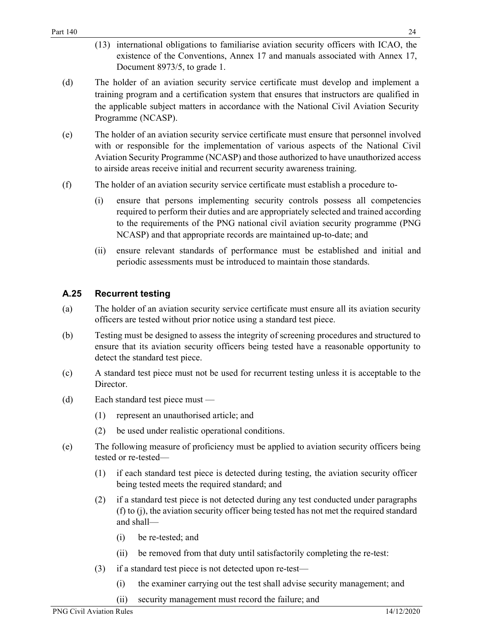- (13) international obligations to familiarise aviation security officers with ICAO, the existence of the Conventions, Annex 17 and manuals associated with Annex 17, Document 8973/5, to grade 1.
- (d) The holder of an aviation security service certificate must develop and implement a training program and a certification system that ensures that instructors are qualified in the applicable subject matters in accordance with the National Civil Aviation Security Programme (NCASP).
- (e) The holder of an aviation security service certificate must ensure that personnel involved with or responsible for the implementation of various aspects of the National Civil Aviation Security Programme (NCASP) and those authorized to have unauthorized access to airside areas receive initial and recurrent security awareness training.
- (f) The holder of an aviation security service certificate must establish a procedure to-
	- (i) ensure that persons implementing security controls possess all competencies required to perform their duties and are appropriately selected and trained according to the requirements of the PNG national civil aviation security programme (PNG NCASP) and that appropriate records are maintained up-to-date; and
	- (ii) ensure relevant standards of performance must be established and initial and periodic assessments must be introduced to maintain those standards.

#### A.25 Recurrent testing

- (a) The holder of an aviation security service certificate must ensure all its aviation security officers are tested without prior notice using a standard test piece.
- (b) Testing must be designed to assess the integrity of screening procedures and structured to ensure that its aviation security officers being tested have a reasonable opportunity to detect the standard test piece.
- (c) A standard test piece must not be used for recurrent testing unless it is acceptable to the Director.
- (d) Each standard test piece must
	- (1) represent an unauthorised article; and
	- (2) be used under realistic operational conditions.
- (e) The following measure of proficiency must be applied to aviation security officers being tested or re-tested—
	- (1) if each standard test piece is detected during testing, the aviation security officer being tested meets the required standard; and
	- (2) if a standard test piece is not detected during any test conducted under paragraphs (f) to (j), the aviation security officer being tested has not met the required standard and shall—
		- (i) be re-tested; and
		- (ii) be removed from that duty until satisfactorily completing the re-test:
	- (3) if a standard test piece is not detected upon re-test—
		- (i) the examiner carrying out the test shall advise security management; and
		- (ii) security management must record the failure; and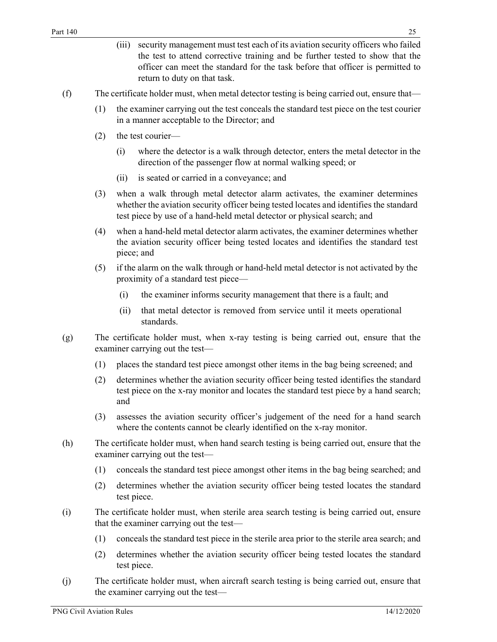- (iii) security management must test each of its aviation security officers who failed the test to attend corrective training and be further tested to show that the officer can meet the standard for the task before that officer is permitted to return to duty on that task.
- (f) The certificate holder must, when metal detector testing is being carried out, ensure that—
	- (1) the examiner carrying out the test conceals the standard test piece on the test courier in a manner acceptable to the Director; and
	- (2) the test courier—
		- (i) where the detector is a walk through detector, enters the metal detector in the direction of the passenger flow at normal walking speed; or
		- (ii) is seated or carried in a conveyance; and
	- (3) when a walk through metal detector alarm activates, the examiner determines whether the aviation security officer being tested locates and identifies the standard test piece by use of a hand-held metal detector or physical search; and
	- (4) when a hand-held metal detector alarm activates, the examiner determines whether the aviation security officer being tested locates and identifies the standard test piece; and
	- (5) if the alarm on the walk through or hand-held metal detector is not activated by the proximity of a standard test piece—
		- (i) the examiner informs security management that there is a fault; and
		- (ii) that metal detector is removed from service until it meets operational standards.
- (g) The certificate holder must, when x-ray testing is being carried out, ensure that the examiner carrying out the test—
	- (1) places the standard test piece amongst other items in the bag being screened; and
	- (2) determines whether the aviation security officer being tested identifies the standard test piece on the x-ray monitor and locates the standard test piece by a hand search; and
	- (3) assesses the aviation security officer's judgement of the need for a hand search where the contents cannot be clearly identified on the x-ray monitor.
- (h) The certificate holder must, when hand search testing is being carried out, ensure that the examiner carrying out the test—
	- (1) conceals the standard test piece amongst other items in the bag being searched; and
	- (2) determines whether the aviation security officer being tested locates the standard test piece.
- (i) The certificate holder must, when sterile area search testing is being carried out, ensure that the examiner carrying out the test—
	- (1) conceals the standard test piece in the sterile area prior to the sterile area search; and
	- (2) determines whether the aviation security officer being tested locates the standard test piece.
- (j) The certificate holder must, when aircraft search testing is being carried out, ensure that the examiner carrying out the test—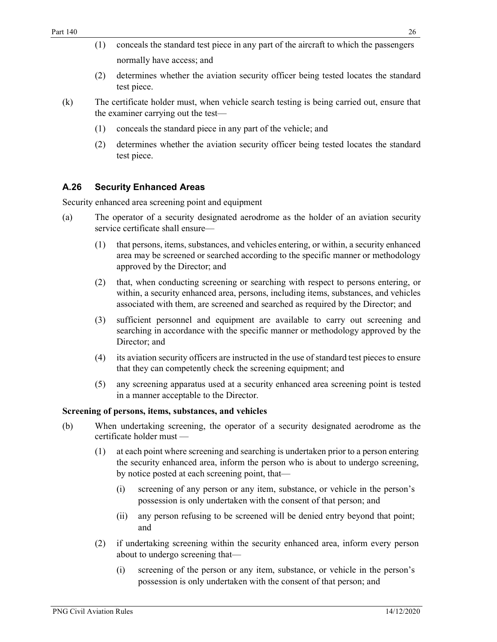- (2) determines whether the aviation security officer being tested locates the standard test piece.
- (k) The certificate holder must, when vehicle search testing is being carried out, ensure that the examiner carrying out the test—
	- (1) conceals the standard piece in any part of the vehicle; and
	- (2) determines whether the aviation security officer being tested locates the standard test piece.

# A.26 Security Enhanced Areas

Security enhanced area screening point and equipment

- (a) The operator of a security designated aerodrome as the holder of an aviation security service certificate shall ensure—
	- (1) that persons, items, substances, and vehicles entering, or within, a security enhanced area may be screened or searched according to the specific manner or methodology approved by the Director; and
	- (2) that, when conducting screening or searching with respect to persons entering, or within, a security enhanced area, persons, including items, substances, and vehicles associated with them, are screened and searched as required by the Director; and
	- (3) sufficient personnel and equipment are available to carry out screening and searching in accordance with the specific manner or methodology approved by the Director; and
	- (4) its aviation security officers are instructed in the use of standard test pieces to ensure that they can competently check the screening equipment; and
	- (5) any screening apparatus used at a security enhanced area screening point is tested in a manner acceptable to the Director.

#### Screening of persons, items, substances, and vehicles

- (b) When undertaking screening, the operator of a security designated aerodrome as the certificate holder must —
	- (1) at each point where screening and searching is undertaken prior to a person entering the security enhanced area, inform the person who is about to undergo screening, by notice posted at each screening point, that—
		- (i) screening of any person or any item, substance, or vehicle in the person's possession is only undertaken with the consent of that person; and
		- (ii) any person refusing to be screened will be denied entry beyond that point; and
	- (2) if undertaking screening within the security enhanced area, inform every person about to undergo screening that—
		- (i) screening of the person or any item, substance, or vehicle in the person's possession is only undertaken with the consent of that person; and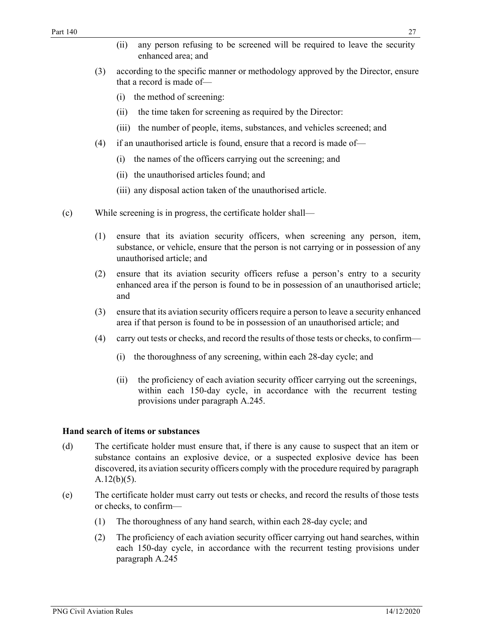- (ii) any person refusing to be screened will be required to leave the security enhanced area; and
- (3) according to the specific manner or methodology approved by the Director, ensure that a record is made of—
	- (i) the method of screening:
	- (ii) the time taken for screening as required by the Director:
	- (iii) the number of people, items, substances, and vehicles screened; and
- (4) if an unauthorised article is found, ensure that a record is made of—
	- (i) the names of the officers carrying out the screening; and
	- (ii) the unauthorised articles found; and
	- (iii) any disposal action taken of the unauthorised article.
- (c) While screening is in progress, the certificate holder shall—
	- (1) ensure that its aviation security officers, when screening any person, item, substance, or vehicle, ensure that the person is not carrying or in possession of any unauthorised article; and
	- (2) ensure that its aviation security officers refuse a person's entry to a security enhanced area if the person is found to be in possession of an unauthorised article; and
	- (3) ensure that its aviation security officers require a person to leave a security enhanced area if that person is found to be in possession of an unauthorised article; and
	- (4) carry out tests or checks, and record the results of those tests or checks, to confirm—
		- (i) the thoroughness of any screening, within each 28-day cycle; and
		- (ii) the proficiency of each aviation security officer carrying out the screenings, within each 150-day cycle, in accordance with the recurrent testing provisions under paragraph A.245.

#### Hand search of items or substances

- (d) The certificate holder must ensure that, if there is any cause to suspect that an item or substance contains an explosive device, or a suspected explosive device has been discovered, its aviation security officers comply with the procedure required by paragraph  $A.12(b)(5)$ .
- (e) The certificate holder must carry out tests or checks, and record the results of those tests or checks, to confirm—
	- (1) The thoroughness of any hand search, within each 28-day cycle; and
	- (2) The proficiency of each aviation security officer carrying out hand searches, within each 150-day cycle, in accordance with the recurrent testing provisions under paragraph A.245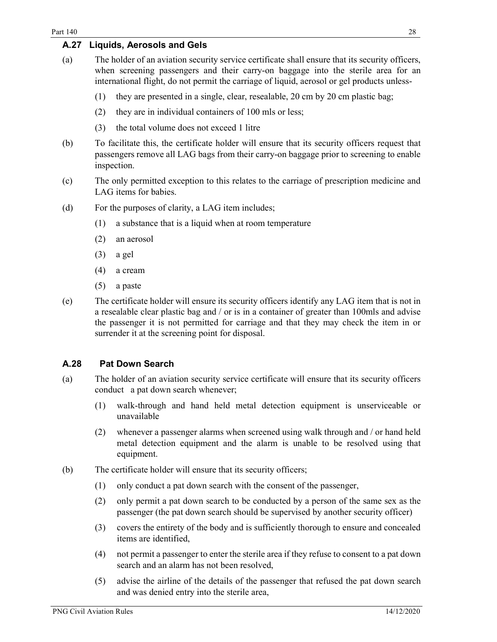#### A.27 Liquids, Aerosols and Gels

- (a) The holder of an aviation security service certificate shall ensure that its security officers, when screening passengers and their carry-on baggage into the sterile area for an international flight, do not permit the carriage of liquid, aerosol or gel products unless-
	- (1) they are presented in a single, clear, resealable, 20 cm by 20 cm plastic bag;
	- (2) they are in individual containers of 100 mls or less;
	- (3) the total volume does not exceed 1 litre
- (b) To facilitate this, the certificate holder will ensure that its security officers request that passengers remove all LAG bags from their carry-on baggage prior to screening to enable inspection.
- (c) The only permitted exception to this relates to the carriage of prescription medicine and LAG items for babies.
- (d) For the purposes of clarity, a LAG item includes;
	- (1) a substance that is a liquid when at room temperature
	- (2) an aerosol
	- (3) a gel
	- (4) a cream
	- (5) a paste
- (e) The certificate holder will ensure its security officers identify any LAG item that is not in a resealable clear plastic bag and / or is in a container of greater than 100mls and advise the passenger it is not permitted for carriage and that they may check the item in or surrender it at the screening point for disposal.

#### A.28 Pat Down Search

- (a) The holder of an aviation security service certificate will ensure that its security officers conduct a pat down search whenever;
	- (1) walk-through and hand held metal detection equipment is unserviceable or unavailable
	- (2) whenever a passenger alarms when screened using walk through and / or hand held metal detection equipment and the alarm is unable to be resolved using that equipment.
- (b) The certificate holder will ensure that its security officers;
	- (1) only conduct a pat down search with the consent of the passenger,
	- (2) only permit a pat down search to be conducted by a person of the same sex as the passenger (the pat down search should be supervised by another security officer)
	- (3) covers the entirety of the body and is sufficiently thorough to ensure and concealed items are identified,
	- (4) not permit a passenger to enter the sterile area if they refuse to consent to a pat down search and an alarm has not been resolved,
	- (5) advise the airline of the details of the passenger that refused the pat down search and was denied entry into the sterile area,